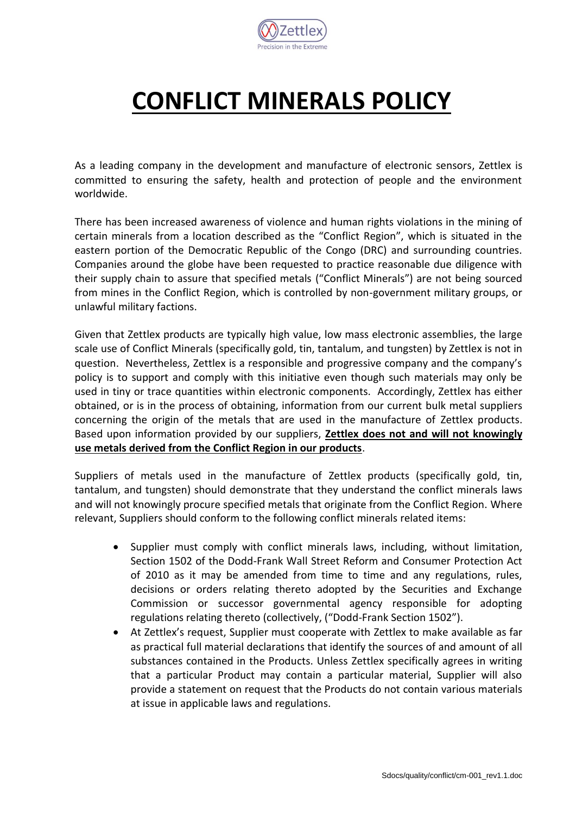

## **CONFLICT MINERALS POLICY**

As a leading company in the development and manufacture of electronic sensors, Zettlex is committed to ensuring the safety, health and protection of people and the environment worldwide.

There has been increased awareness of violence and human rights violations in the mining of certain minerals from a location described as the "Conflict Region", which is situated in the eastern portion of the Democratic Republic of the Congo (DRC) and surrounding countries. Companies around the globe have been requested to practice reasonable due diligence with their supply chain to assure that specified metals ("Conflict Minerals") are not being sourced from mines in the Conflict Region, which is controlled by non-government military groups, or unlawful military factions.

Given that Zettlex products are typically high value, low mass electronic assemblies, the large scale use of Conflict Minerals (specifically gold, tin, tantalum, and tungsten) by Zettlex is not in question. Nevertheless, Zettlex is a responsible and progressive company and the company's policy is to support and comply with this initiative even though such materials may only be used in tiny or trace quantities within electronic components. Accordingly, Zettlex has either obtained, or is in the process of obtaining, information from our current bulk metal suppliers concerning the origin of the metals that are used in the manufacture of Zettlex products. Based upon information provided by our suppliers, **Zettlex does not and will not knowingly use metals derived from the Conflict Region in our products**.

Suppliers of metals used in the manufacture of Zettlex products (specifically gold, tin, tantalum, and tungsten) should demonstrate that they understand the conflict minerals laws and will not knowingly procure specified metals that originate from the Conflict Region. Where relevant, Suppliers should conform to the following conflict minerals related items:

- Supplier must comply with conflict minerals laws, including, without limitation, Section 1502 of the Dodd-Frank Wall Street Reform and Consumer Protection Act of 2010 as it may be amended from time to time and any regulations, rules, decisions or orders relating thereto adopted by the Securities and Exchange Commission or successor governmental agency responsible for adopting regulations relating thereto (collectively, ("Dodd-Frank Section 1502").
- At Zettlex's request, Supplier must cooperate with Zettlex to make available as far as practical full material declarations that identify the sources of and amount of all substances contained in the Products. Unless Zettlex specifically agrees in writing that a particular Product may contain a particular material, Supplier will also provide a statement on request that the Products do not contain various materials at issue in applicable laws and regulations.